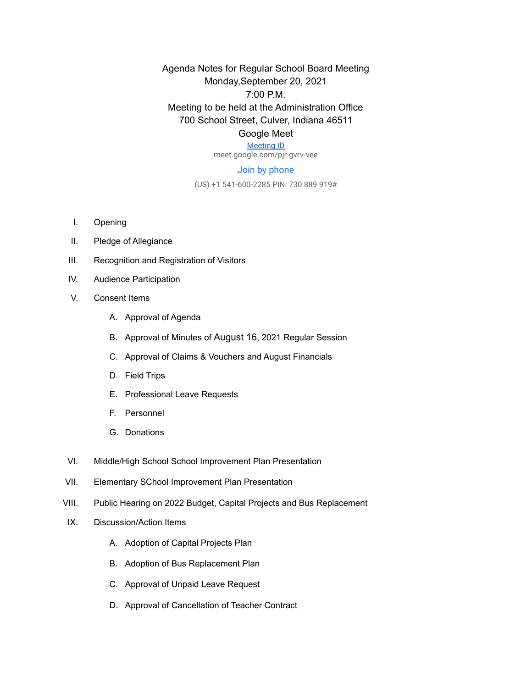Agenda Notes for Regular School Board Meeting Monday,September 20, 2021 7:00 P.M. Meeting to be held at the Administration Office 700 School Street, Culver, Indiana 46511 Google Meet

## [Meeting ID](https://meet.google.com/pjr-gvrv-vee)

meet.google.com/pjr-gvrv-vee

## Join by phone

(US) +1 541-600-2285 PIN: 730 889 919#

- I. Opening
- II. Pledge of Allegiance
- III. Recognition and Registration of Visitors
- IV. Audience Participation
- V. Consent Items
	- A. Approval of Agenda
	- B. Approval of Minutes of August 16, 2021 Regular Session
	- C. Approval of Claims & Vouchers and August Financials
	- D. Field Trips
	- E. Professional Leave Requests
	- F. Personnel
	- G. Donations
- VI. Middle/High School School Improvement Plan Presentation
- VII. Elementary SChool Improvement Plan Presentation
- VIII. Public Hearing on 2022 Budget, Capital Projects and Bus Replacement
- IX. Discussion/Action Items
	- A. Adoption of Capital Projects Plan
	- B. Adoption of Bus Replacement Plan
	- C. Approval of Unpaid Leave Request
	- D. Approval of Cancellation of Teacher Contract